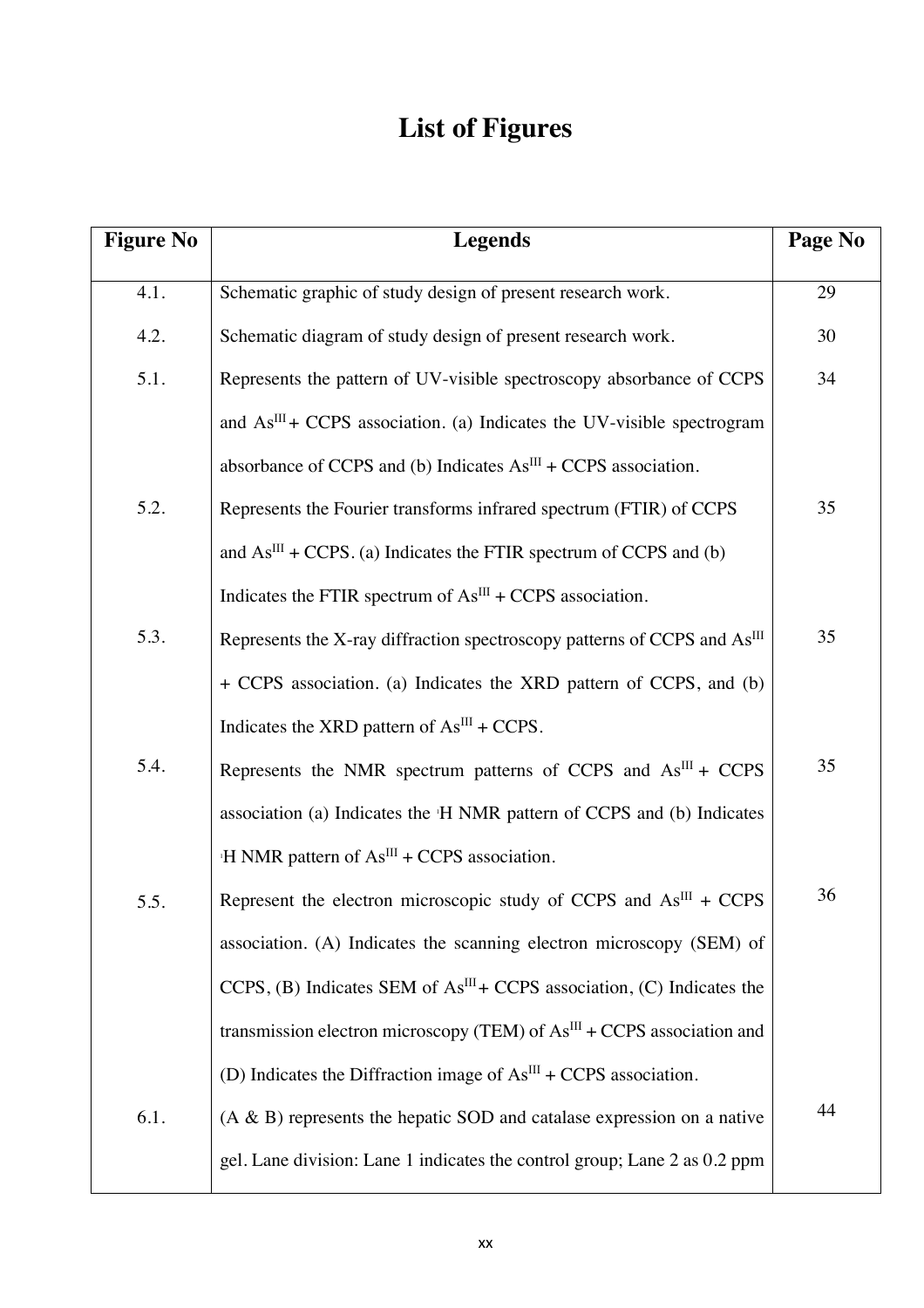## **List of Figures**

| <b>Figure No</b> | <b>Legends</b>                                                                       | Page No |
|------------------|--------------------------------------------------------------------------------------|---------|
| 4.1.             | Schematic graphic of study design of present research work.                          | 29      |
| 4.2.             | Schematic diagram of study design of present research work.                          | 30      |
| 5.1.             | Represents the pattern of UV-visible spectroscopy absorbance of CCPS                 | 34      |
|                  | and $AsIII + CCPS$ association. (a) Indicates the UV-visible spectrogram             |         |
|                  | absorbance of CCPS and (b) Indicates $As^{III}$ + CCPS association.                  |         |
| 5.2.             | Represents the Fourier transforms infrared spectrum (FTIR) of CCPS                   | 35      |
|                  | and $As^{III}$ + CCPS. (a) Indicates the FTIR spectrum of CCPS and (b)               |         |
|                  | Indicates the FTIR spectrum of $AsIII + CCPS$ association.                           |         |
| 5.3.             | Represents the X-ray diffraction spectroscopy patterns of CCPS and As <sup>III</sup> | 35      |
|                  | + CCPS association. (a) Indicates the XRD pattern of CCPS, and (b)                   |         |
|                  | Indicates the XRD pattern of $As^{III}$ + CCPS.                                      |         |
| 5.4.             | Represents the NMR spectrum patterns of CCPS and $AsIII + CCPS$                      | 35      |
|                  | association (a) Indicates the 'H NMR pattern of CCPS and (b) Indicates               |         |
|                  | $H NMR$ pattern of $AsIII + CCPS$ association.                                       |         |
| 5.5.             | Represent the electron microscopic study of CCPS and $AsIII + CCPS$                  | 36      |
|                  | association. (A) Indicates the scanning electron microscopy (SEM) of                 |         |
|                  | CCPS, (B) Indicates SEM of $AsIII + CCPS$ association, (C) Indicates the             |         |
|                  | transmission electron microscopy (TEM) of $AsIII + CCPS$ association and             |         |
|                  | (D) Indicates the Diffraction image of $AsIII + CCPS$ association.                   |         |
| 6.1.             | $(A \& B)$ represents the hepatic SOD and catalase expression on a native            | 44      |
|                  | gel. Lane division: Lane 1 indicates the control group; Lane 2 as 0.2 ppm            |         |

L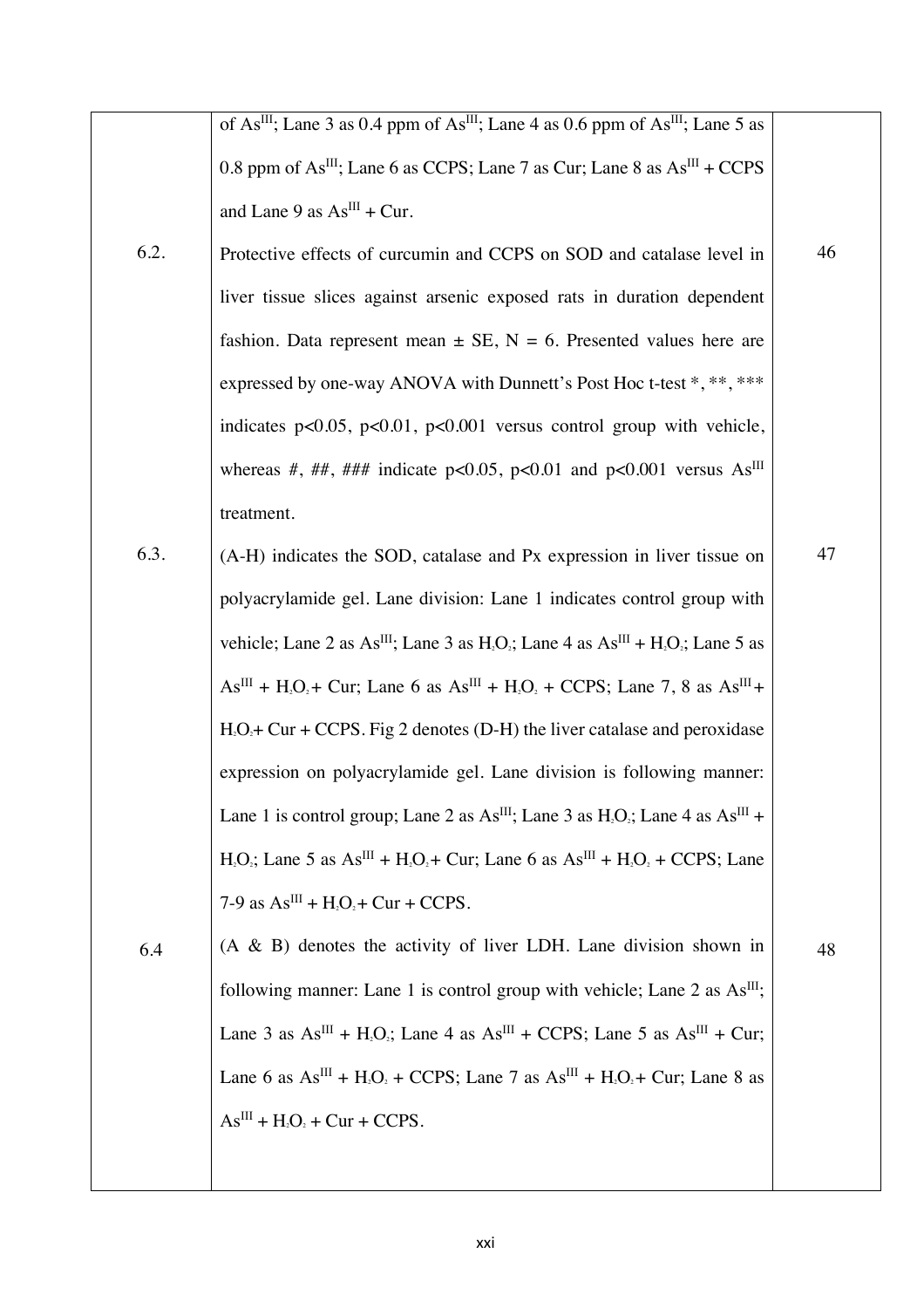|      | of As <sup>III</sup> ; Lane 3 as 0.4 ppm of As <sup>III</sup> ; Lane 4 as 0.6 ppm of As <sup>III</sup> ; Lane 5 as                                       |    |
|------|----------------------------------------------------------------------------------------------------------------------------------------------------------|----|
|      | 0.8 ppm of $As^{III}$ ; Lane 6 as CCPS; Lane 7 as Cur; Lane 8 as $As^{III}$ + CCPS                                                                       |    |
|      | and Lane 9 as $As^{III}$ + Cur.                                                                                                                          |    |
| 6.2. | Protective effects of curcumin and CCPS on SOD and catalase level in                                                                                     | 46 |
|      | liver tissue slices against arsenic exposed rats in duration dependent                                                                                   |    |
|      | fashion. Data represent mean $\pm$ SE, N = 6. Presented values here are                                                                                  |    |
|      | expressed by one-way ANOVA with Dunnett's Post Hoc t-test *, **, ***                                                                                     |    |
|      | indicates $p<0.05$ , $p<0.01$ , $p<0.001$ versus control group with vehicle,                                                                             |    |
|      | whereas #, ##, ### indicate p<0.05, p<0.01 and p<0.001 versus $As^{III}$                                                                                 |    |
|      | treatment.                                                                                                                                               |    |
| 6.3. | (A-H) indicates the SOD, catalase and Px expression in liver tissue on                                                                                   | 47 |
|      | polyacrylamide gel. Lane division: Lane 1 indicates control group with                                                                                   |    |
|      | vehicle; Lane 2 as As <sup>III</sup> ; Lane 3 as H <sub>2</sub> O <sub>2</sub> ; Lane 4 as As <sup>III</sup> + H <sub>2</sub> O <sub>2</sub> ; Lane 5 as |    |
|      | $AsIII + H2O2 + Cur$ ; Lane 6 as $AsIII + H2O2 + CCPS$ ; Lane 7, 8 as $AsIII +$                                                                          |    |
|      | $H_1O_2$ + Cur + CCPS. Fig 2 denotes (D-H) the liver catalase and peroxidase                                                                             |    |
|      | expression on polyacrylamide gel. Lane division is following manner:                                                                                     |    |
|      | Lane 1 is control group; Lane 2 as $As^{III}$ ; Lane 3 as $H_2O_2$ ; Lane 4 as $As^{III}$ +                                                              |    |
|      | $H_1O_2$ ; Lane 5 as $As^{III} + H_2O_2 + Cur$ ; Lane 6 as $As^{III} + H_2O_2 + CCPS$ ; Lane                                                             |    |
|      | 7-9 as $AsIII + H2O2 + Cur + CCPS.$                                                                                                                      |    |
| 6.4  | $(A \& B)$ denotes the activity of liver LDH. Lane division shown in                                                                                     | 48 |
|      | following manner: Lane 1 is control group with vehicle; Lane 2 as As <sup>III</sup> ;                                                                    |    |
|      | Lane 3 as $As^{III}$ + H <sub>2</sub> O <sub>2</sub> ; Lane 4 as $As^{III}$ + CCPS; Lane 5 as $As^{III}$ + Cur;                                          |    |
|      | Lane 6 as $As^{III}$ + H <sub>2</sub> O <sub>2</sub> + CCPS; Lane 7 as $As^{III}$ + H <sub>2</sub> O <sub>2</sub> + Cur; Lane 8 as                       |    |
|      | $AsIII + H2O2 + Cur + CCPS.$                                                                                                                             |    |
|      |                                                                                                                                                          |    |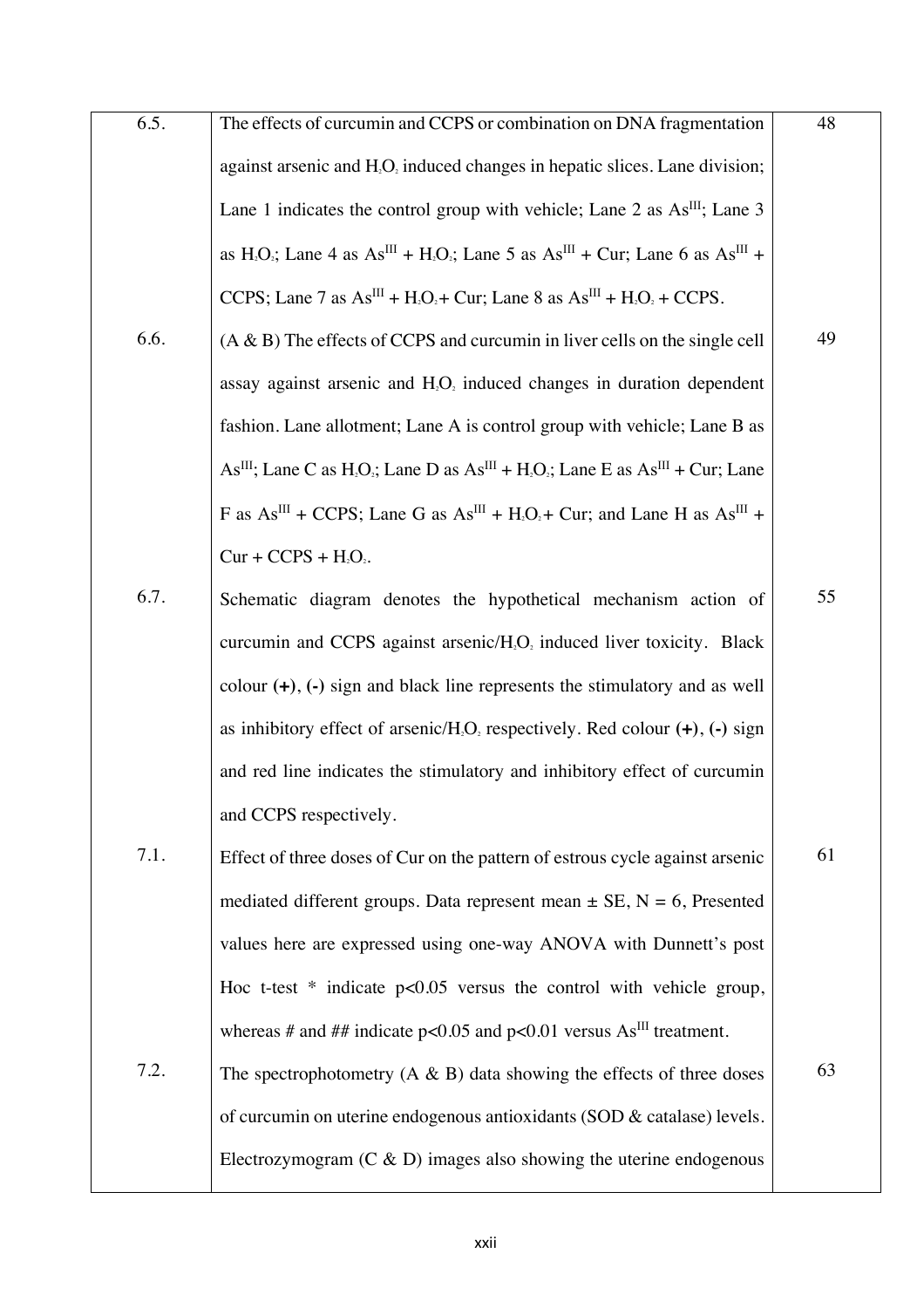| 6.5. | The effects of curcumin and CCPS or combination on DNA fragmentation                                                                                              | 48 |
|------|-------------------------------------------------------------------------------------------------------------------------------------------------------------------|----|
|      | against arsenic and H <sub>2</sub> O <sub>2</sub> induced changes in hepatic slices. Lane division;                                                               |    |
|      | Lane 1 indicates the control group with vehicle; Lane 2 as $\text{As}^{\text{III}}$ ; Lane 3                                                                      |    |
|      | as H <sub>2</sub> O <sub>2</sub> ; Lane 4 as As <sup>III</sup> + H <sub>2</sub> O <sub>2</sub> ; Lane 5 as As <sup>III</sup> + Cur; Lane 6 as As <sup>III</sup> + |    |
|      | CCPS; Lane 7 as $As^{III} + H_2O_2 + Cur$ ; Lane 8 as $As^{III} + H_2O_2 + CCPS$ .                                                                                |    |
| 6.6. | $(A & B)$ The effects of CCPS and curcumin in liver cells on the single cell                                                                                      | 49 |
|      | assay against arsenic and H <sub>2</sub> O <sub>2</sub> induced changes in duration dependent                                                                     |    |
|      | fashion. Lane allotment; Lane A is control group with vehicle; Lane B as                                                                                          |    |
|      | $As^{III}$ ; Lane C as H <sub>2</sub> O <sub>2</sub> ; Lane D as $As^{III} + H_2O_2$ ; Lane E as $As^{III} + Cur$ ; Lane                                          |    |
|      | F as $As^{III}$ + CCPS; Lane G as $As^{III}$ + H <sub>2</sub> O <sub>2</sub> + Cur; and Lane H as $As^{III}$ +                                                    |    |
|      | $Cur + CCPS + H2O2$ .                                                                                                                                             |    |
| 6.7. | Schematic diagram denotes the hypothetical mechanism action of                                                                                                    | 55 |
|      | curcumin and CCPS against arsenic/H <sub>2</sub> O <sub>2</sub> induced liver toxicity. Black                                                                     |    |
|      | colour $(+)$ , $(-)$ sign and black line represents the stimulatory and as well                                                                                   |    |
|      | as inhibitory effect of arsenic/H <sub>2</sub> O <sub>2</sub> respectively. Red colour $(+)$ , $(-)$ sign                                                         |    |
|      | and red line indicates the stimulatory and inhibitory effect of curcumin                                                                                          |    |
|      | and CCPS respectively.                                                                                                                                            |    |
| 7.1. | Effect of three doses of Cur on the pattern of estrous cycle against arsenic                                                                                      | 61 |
|      | mediated different groups. Data represent mean $\pm$ SE, N = 6, Presented                                                                                         |    |
|      | values here are expressed using one-way ANOVA with Dunnett's post                                                                                                 |    |
|      | Hoc t-test $*$ indicate $p<0.05$ versus the control with vehicle group,                                                                                           |    |
|      | whereas # and ## indicate $p<0.05$ and $p<0.01$ versus As <sup>III</sup> treatment.                                                                               |    |
| 7.2. | The spectrophotometry $(A \& B)$ data showing the effects of three doses                                                                                          | 63 |
|      | of curcumin on uterine endogenous antioxidants (SOD & catalase) levels.                                                                                           |    |
|      | Electrozymogram $(C & D)$ images also showing the uterine endogenous                                                                                              |    |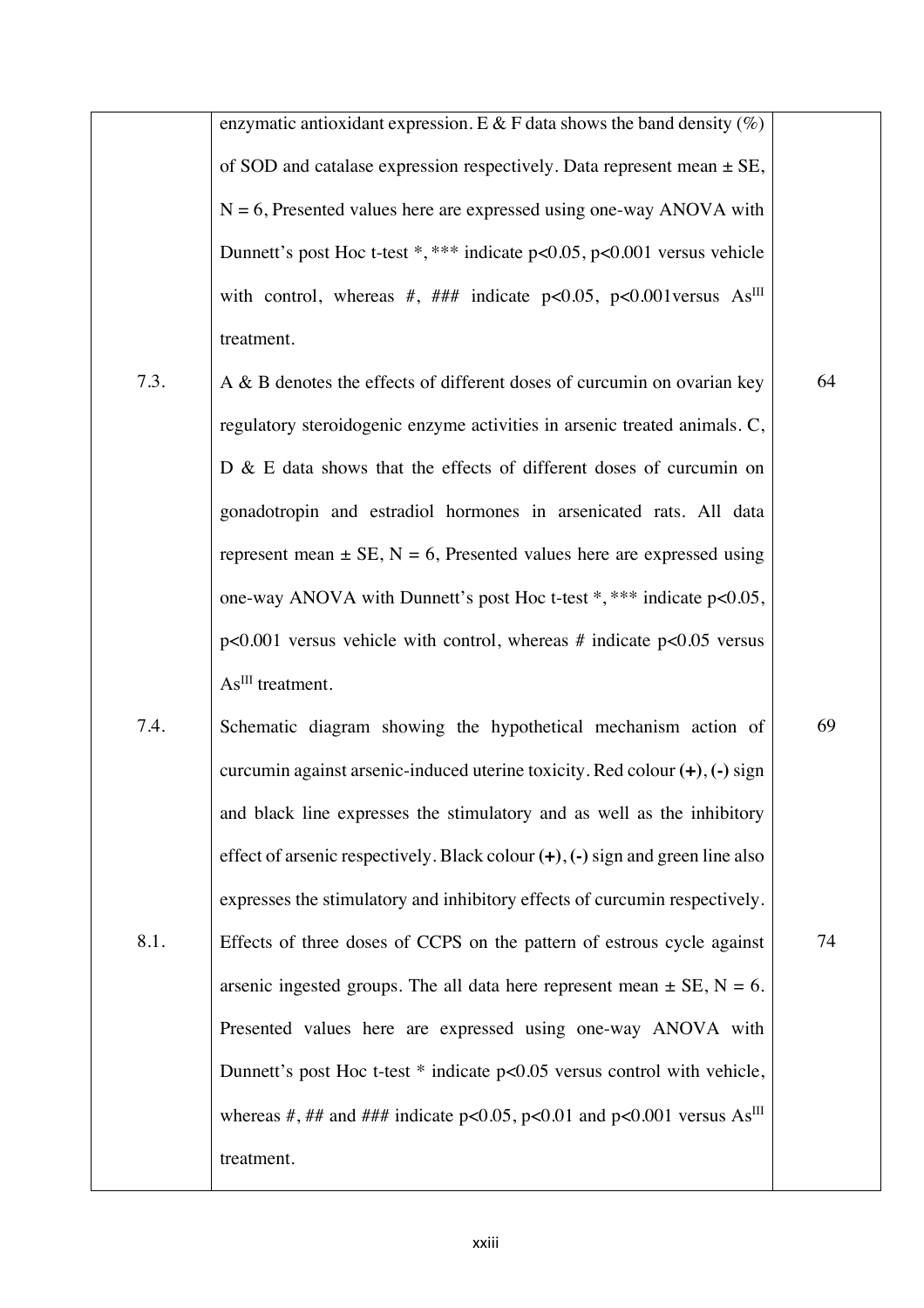enzymatic antioxidant expression. E & F data shows the band density  $(\%)$ of SOD and catalase expression respectively. Data represent mean  $\pm$  SE,  $N = 6$ , Presented values here are expressed using one-way ANOVA with Dunnett's post Hoc t-test \*, \*\*\* indicate p<0.05, p<0.001 versus vehicle with control, whereas #, ### indicate p<0.05, p<0.001 versus  $As^{III}$ treatment.

- 7.3. A & B denotes the effects of different doses of curcumin on ovarian key regulatory steroidogenic enzyme activities in arsenic treated animals. C, D & E data shows that the effects of different doses of curcumin on gonadotropin and estradiol hormones in arsenicated rats. All data represent mean  $\pm$  SE, N = 6, Presented values here are expressed using one-way ANOVA with Dunnett's post Hoc t-test \*, \*\*\* indicate p<0.05,  $p<0.001$  versus vehicle with control, whereas # indicate  $p<0.05$  versus As<sup>III</sup> treatment.
- 7.4. 8.1. Schematic diagram showing the hypothetical mechanism action of curcumin against arsenic-induced uterine toxicity. Red colour **(+)**, **(-)** sign and black line expresses the stimulatory and as well as the inhibitory effect of arsenic respectively. Black colour **(+)**, **(-)** sign and green line also expresses the stimulatory and inhibitory effects of curcumin respectively. Effects of three doses of CCPS on the pattern of estrous cycle against arsenic ingested groups. The all data here represent mean  $\pm$  SE, N = 6. Presented values here are expressed using one-way ANOVA with Dunnett's post Hoc t-test \* indicate p<0.05 versus control with vehicle, whereas #, ## and ### indicate p<0.05, p<0.01 and p<0.001 versus  $As^{III}$ treatment.

64

69

74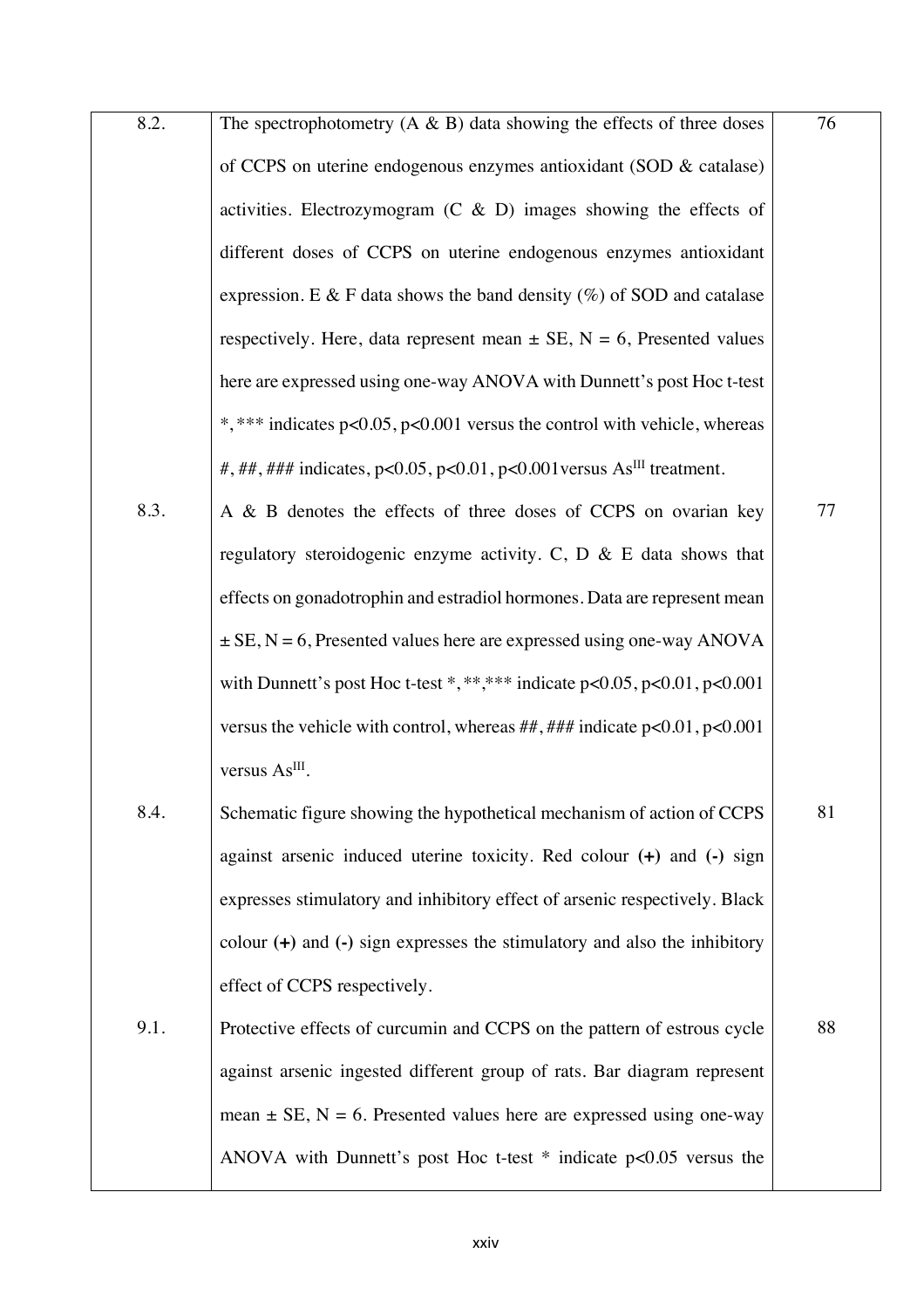| 8.2. | The spectrophotometry $(A \& B)$ data showing the effects of three doses                  | 76 |
|------|-------------------------------------------------------------------------------------------|----|
|      | of CCPS on uterine endogenous enzymes antioxidant (SOD & catalase)                        |    |
|      | activities. Electrozymogram $(C & D)$ images showing the effects of                       |    |
|      | different doses of CCPS on uterine endogenous enzymes antioxidant                         |    |
|      | expression. E & F data shows the band density $(\%)$ of SOD and catalase                  |    |
|      | respectively. Here, data represent mean $\pm$ SE, N = 6, Presented values                 |    |
|      | here are expressed using one-way ANOVA with Dunnett's post Hoc t-test                     |    |
|      | *,*** indicates p<0.05, p<0.001 versus the control with vehicle, whereas                  |    |
|      | #, ##, ### indicates, $p<0.05$ , $p<0.01$ , $p<0.001$ versus As <sup>III</sup> treatment. |    |
| 8.3. | A & B denotes the effects of three doses of CCPS on ovarian key                           | 77 |
|      | regulatory steroidogenic enzyme activity. C, $D \& E$ data shows that                     |    |
|      | effects on gonadotrophin and estradiol hormones. Data are represent mean                  |    |
|      | $\pm$ SE, N = 6, Presented values here are expressed using one-way ANOVA                  |    |
|      | with Dunnett's post Hoc t-test *,****** indicate $p<0.05$ , $p<0.01$ , $p<0.001$          |    |
|      | versus the vehicle with control, whereas $\# \# \# \#$ indicate $p < 0.01$ , $p < 0.001$  |    |
|      | versus As <sup>III</sup> .                                                                |    |
| 8.4. | Schematic figure showing the hypothetical mechanism of action of CCPS                     | 81 |
|      | against arsenic induced uterine toxicity. Red colour $(+)$ and $(-)$ sign                 |    |
|      | expresses stimulatory and inhibitory effect of arsenic respectively. Black                |    |
|      | colour $(+)$ and $(-)$ sign expresses the stimulatory and also the inhibitory             |    |
|      | effect of CCPS respectively.                                                              |    |
| 9.1. | Protective effects of curcumin and CCPS on the pattern of estrous cycle                   | 88 |
|      | against arsenic ingested different group of rats. Bar diagram represent                   |    |
|      | mean $\pm$ SE, N = 6. Presented values here are expressed using one-way                   |    |
|      | ANOVA with Dunnett's post Hoc t-test $*$ indicate $p<0.05$ versus the                     |    |
|      |                                                                                           |    |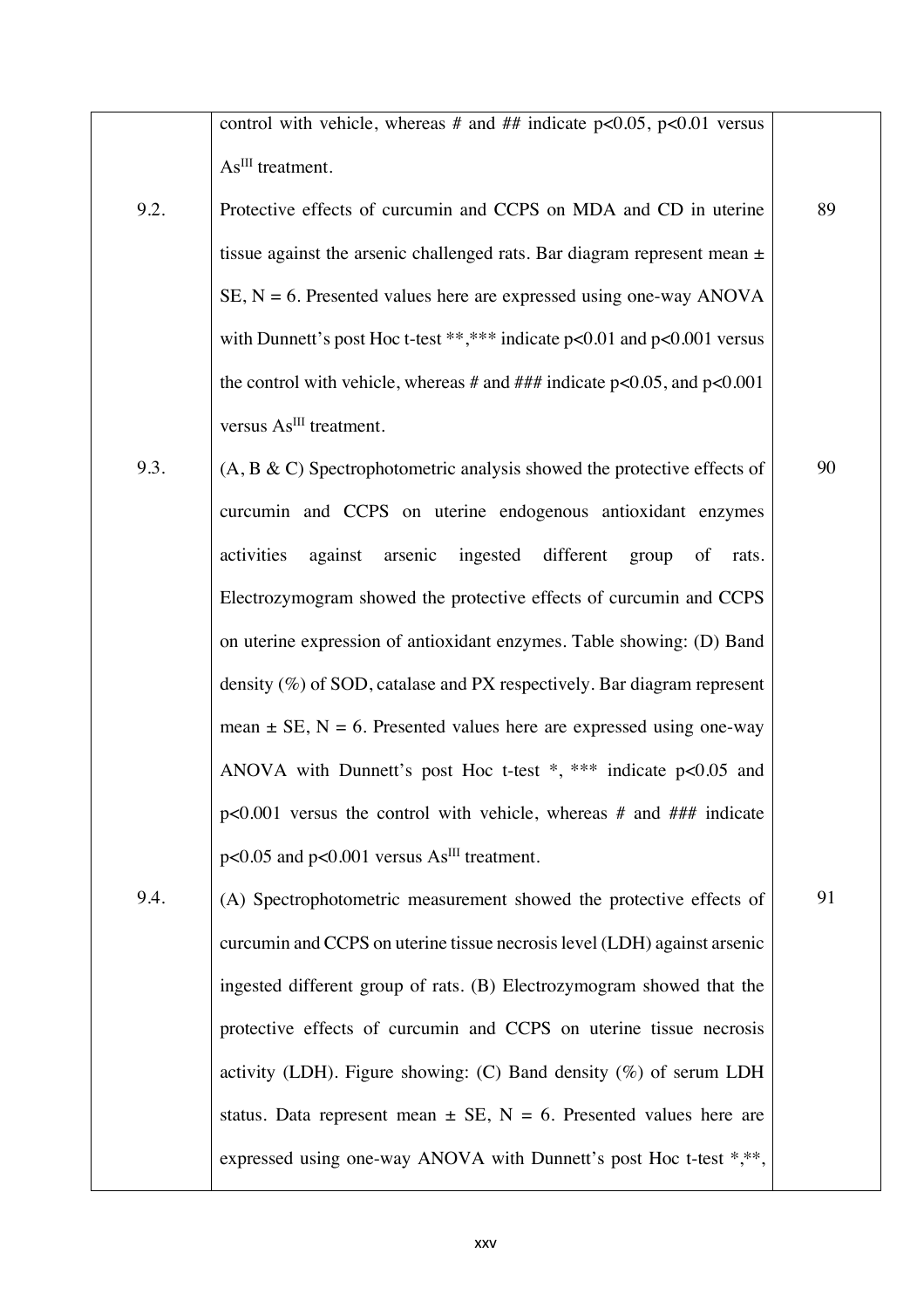control with vehicle, whereas # and ## indicate  $p<0.05$ ,  $p<0.01$  versus As<sup>III</sup> treatment.

- 9.2. Protective effects of curcumin and CCPS on MDA and CD in uterine tissue against the arsenic challenged rats. Bar diagram represent mean ±  $SE$ ,  $N = 6$ . Presented values here are expressed using one-way ANOVA with Dunnett's post Hoc t-test \*\*,\*\*\* indicate p<0.01 and p<0.001 versus the control with vehicle, whereas  $#$  and  $##$  indicate p<0.05, and p<0.001 versus As<sup>III</sup> treatment.
- 9.3. (A, B & C) Spectrophotometric analysis showed the protective effects of curcumin and CCPS on uterine endogenous antioxidant enzymes activities against arsenic ingested different group of rats. Electrozymogram showed the protective effects of curcumin and CCPS on uterine expression of antioxidant enzymes. Table showing: (D) Band density (%) of SOD, catalase and PX respectively. Bar diagram represent mean  $\pm$  SE, N = 6. Presented values here are expressed using one-way ANOVA with Dunnett's post Hoc t-test \*, \*\*\* indicate p<0.05 and p<0.001 versus the control with vehicle, whereas # and ### indicate  $p<0.05$  and  $p<0.001$  versus As<sup>III</sup> treatment.
- 9.4. (A) Spectrophotometric measurement showed the protective effects of curcumin and CCPS on uterine tissue necrosis level (LDH) against arsenic ingested different group of rats. (B) Electrozymogram showed that the protective effects of curcumin and CCPS on uterine tissue necrosis activity (LDH). Figure showing: (C) Band density (%) of serum LDH status. Data represent mean  $\pm$  SE, N = 6. Presented values here are expressed using one-way ANOVA with Dunnett's post Hoc t-test \*,\*\*,

91

89

90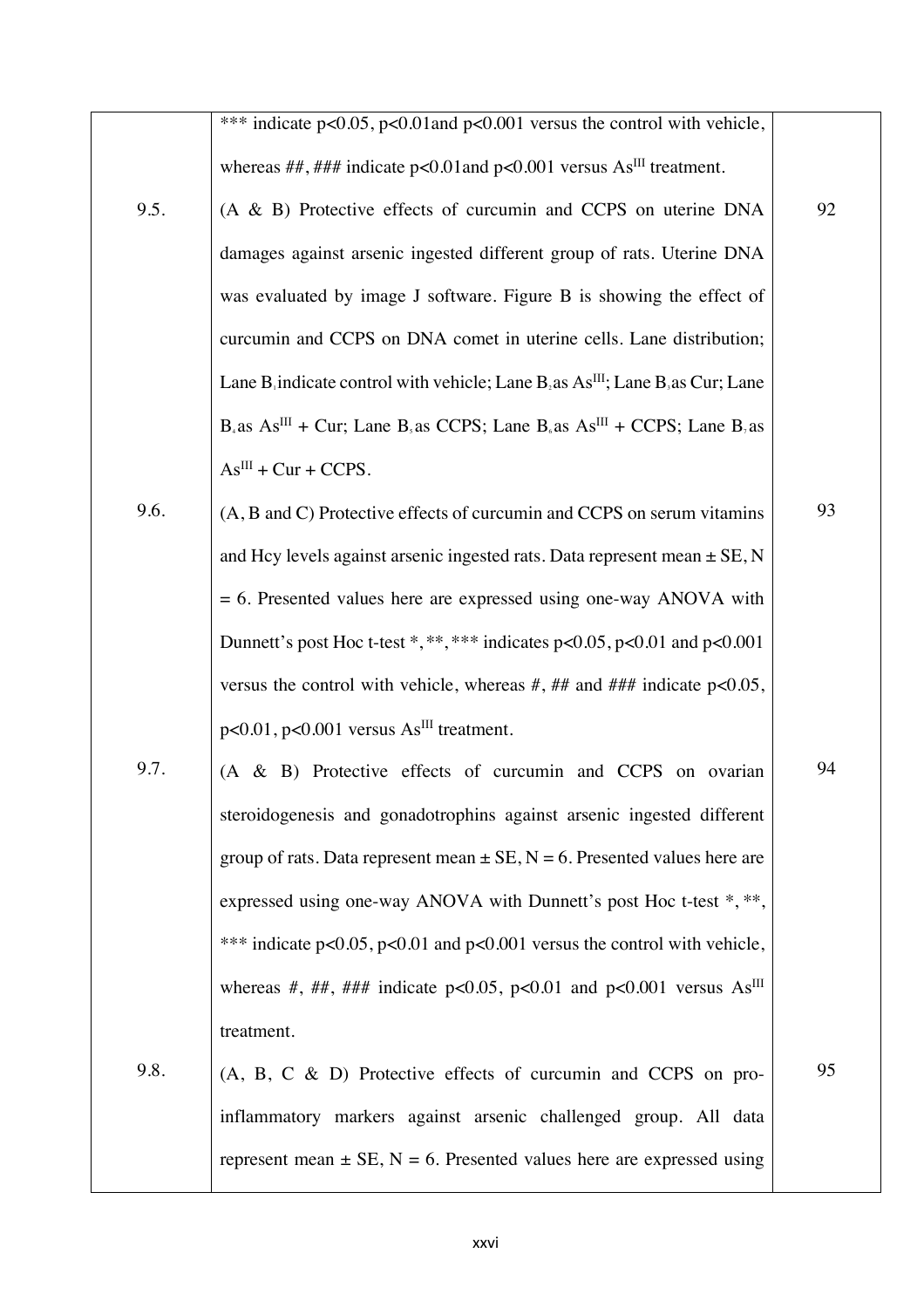|      | *** indicate $p<0.05$ , $p<0.01$ and $p<0.001$ versus the control with vehicle,                                                        |    |
|------|----------------------------------------------------------------------------------------------------------------------------------------|----|
|      | whereas ##, ### indicate p<0.01 and p<0.001 versus $As^{III}$ treatment.                                                               |    |
| 9.5. | (A & B) Protective effects of curcumin and CCPS on uterine DNA                                                                         | 92 |
|      | damages against arsenic ingested different group of rats. Uterine DNA                                                                  |    |
|      | was evaluated by image J software. Figure B is showing the effect of                                                                   |    |
|      | curcumin and CCPS on DNA comet in uterine cells. Lane distribution;                                                                    |    |
|      | Lane B indicate control with vehicle; Lane B as $AsIII$ ; Lane B as Cur; Lane                                                          |    |
|      | $B_4$ as As <sup>III</sup> + Cur; Lane B <sub>3</sub> as CCPS; Lane B <sub>6</sub> as As <sup>III</sup> + CCPS; Lane B <sub>7</sub> as |    |
|      | $AsIII + Cur + CCPS.$                                                                                                                  |    |
| 9.6. | (A, B and C) Protective effects of curcumin and CCPS on serum vitamins                                                                 | 93 |
|      | and Hcy levels against arsenic ingested rats. Data represent mean $\pm$ SE, N                                                          |    |
|      | $= 6$ . Presented values here are expressed using one-way ANOVA with                                                                   |    |
|      | Dunnett's post Hoc t-test *,**,*** indicates $p<0.05$ , $p<0.01$ and $p<0.001$                                                         |    |
|      | versus the control with vehicle, whereas $#$ , $#$ and $#$ $#$ indicate p<0.05,                                                        |    |
|      | $p<0.01$ , $p<0.001$ versus $As$ <sup>III</sup> treatment.                                                                             |    |
| 9.7. | (A & B) Protective effects of curcumin and CCPS on ovarian                                                                             | 94 |
|      | steroidogenesis and gonadotrophins against arsenic ingested different                                                                  |    |
|      | group of rats. Data represent mean $\pm$ SE, N = 6. Presented values here are                                                          |    |
|      | expressed using one-way ANOVA with Dunnett's post Hoc t-test *, **,                                                                    |    |
|      | *** indicate p<0.05, p<0.01 and p<0.001 versus the control with vehicle,                                                               |    |
|      | whereas #, ##, ### indicate p<0.05, p<0.01 and p<0.001 versus $As^{III}$                                                               |    |
|      | treatment.                                                                                                                             |    |
| 9.8. | (A, B, C & D) Protective effects of curcumin and CCPS on pro-                                                                          | 95 |
|      | inflammatory markers against arsenic challenged group. All data                                                                        |    |
|      | represent mean $\pm$ SE, N = 6. Presented values here are expressed using                                                              |    |
|      |                                                                                                                                        |    |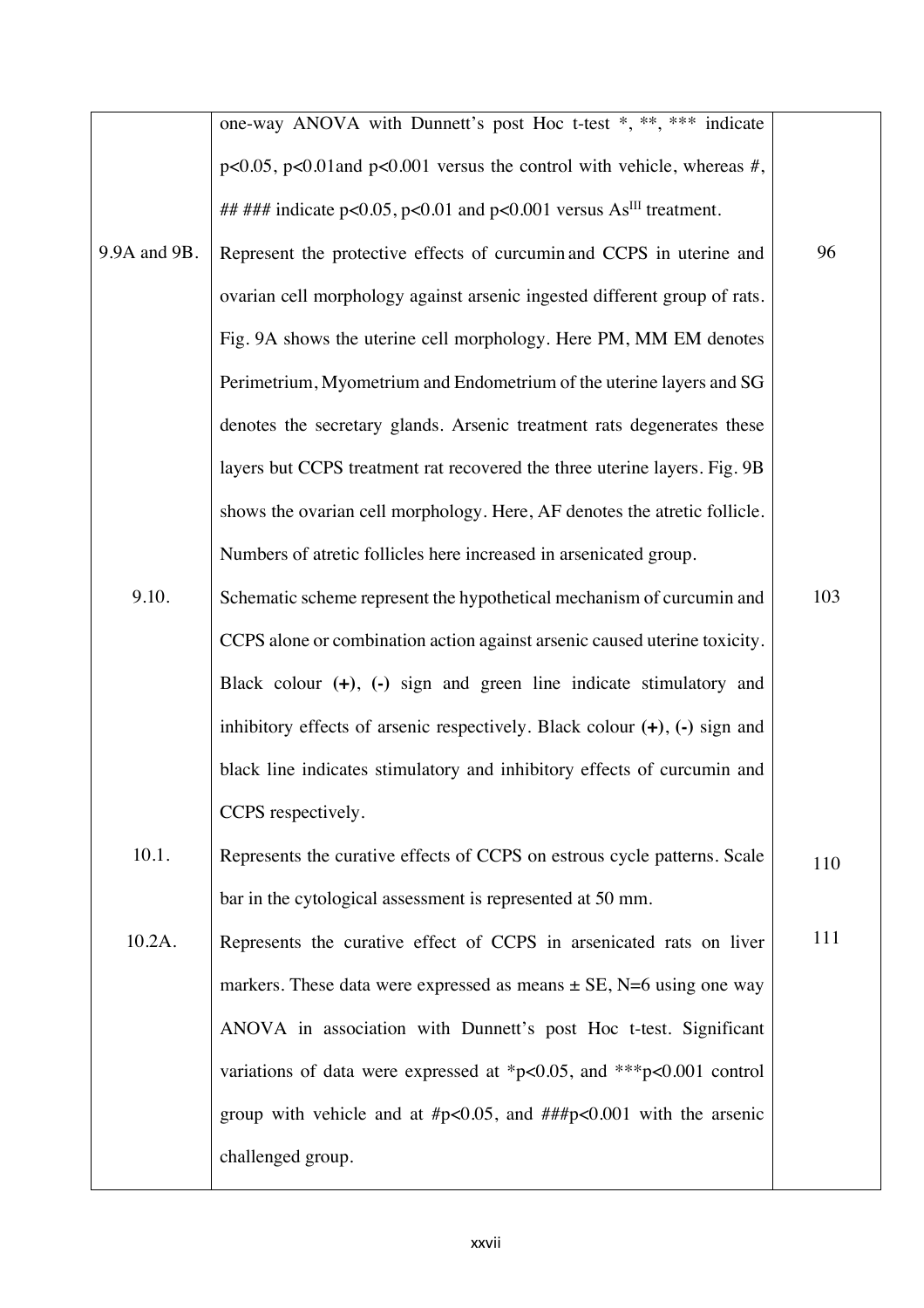|              | one-way ANOVA with Dunnett's post Hoc t-test *, **, *** indicate                |     |
|--------------|---------------------------------------------------------------------------------|-----|
|              | $p<0.05$ , $p<0.01$ and $p<0.001$ versus the control with vehicle, whereas #,   |     |
|              | ## ### indicate p<0.05, p<0.01 and p<0.001 versus $As^{III}$ treatment.         |     |
| 9.9A and 9B. | Represent the protective effects of curcumin and CCPS in uterine and            | 96  |
|              | ovarian cell morphology against arsenic ingested different group of rats.       |     |
|              | Fig. 9A shows the uterine cell morphology. Here PM, MM EM denotes               |     |
|              | Perimetrium, Myometrium and Endometrium of the uterine layers and SG            |     |
|              | denotes the secretary glands. Arsenic treatment rats degenerates these          |     |
|              | layers but CCPS treatment rat recovered the three uterine layers. Fig. 9B       |     |
|              | shows the ovarian cell morphology. Here, AF denotes the atretic follicle.       |     |
|              | Numbers of atretic follicles here increased in arsenicated group.               |     |
| 9.10.        | Schematic scheme represent the hypothetical mechanism of curcumin and           | 103 |
|              | CCPS alone or combination action against arsenic caused uterine toxicity.       |     |
|              | Black colour $(+)$ , $(-)$ sign and green line indicate stimulatory and         |     |
|              | inhibitory effects of arsenic respectively. Black colour $(+)$ , $(-)$ sign and |     |
|              | black line indicates stimulatory and inhibitory effects of curcumin and         |     |
|              | CCPS respectively.                                                              |     |
| 10.1.        | Represents the curative effects of CCPS on estrous cycle patterns. Scale        | 110 |
|              | bar in the cytological assessment is represented at 50 mm.                      |     |
| 10.2A.       | Represents the curative effect of CCPS in arsenicated rats on liver             | 111 |
|              | markers. These data were expressed as means $\pm$ SE, N=6 using one way         |     |
|              | ANOVA in association with Dunnett's post Hoc t-test. Significant                |     |
|              | variations of data were expressed at *p<0.05, and ***p<0.001 control            |     |
|              | group with vehicle and at $\#p<0.05$ , and $\# \# \#p<0.001$ with the arsenic   |     |
|              | challenged group.                                                               |     |
|              |                                                                                 |     |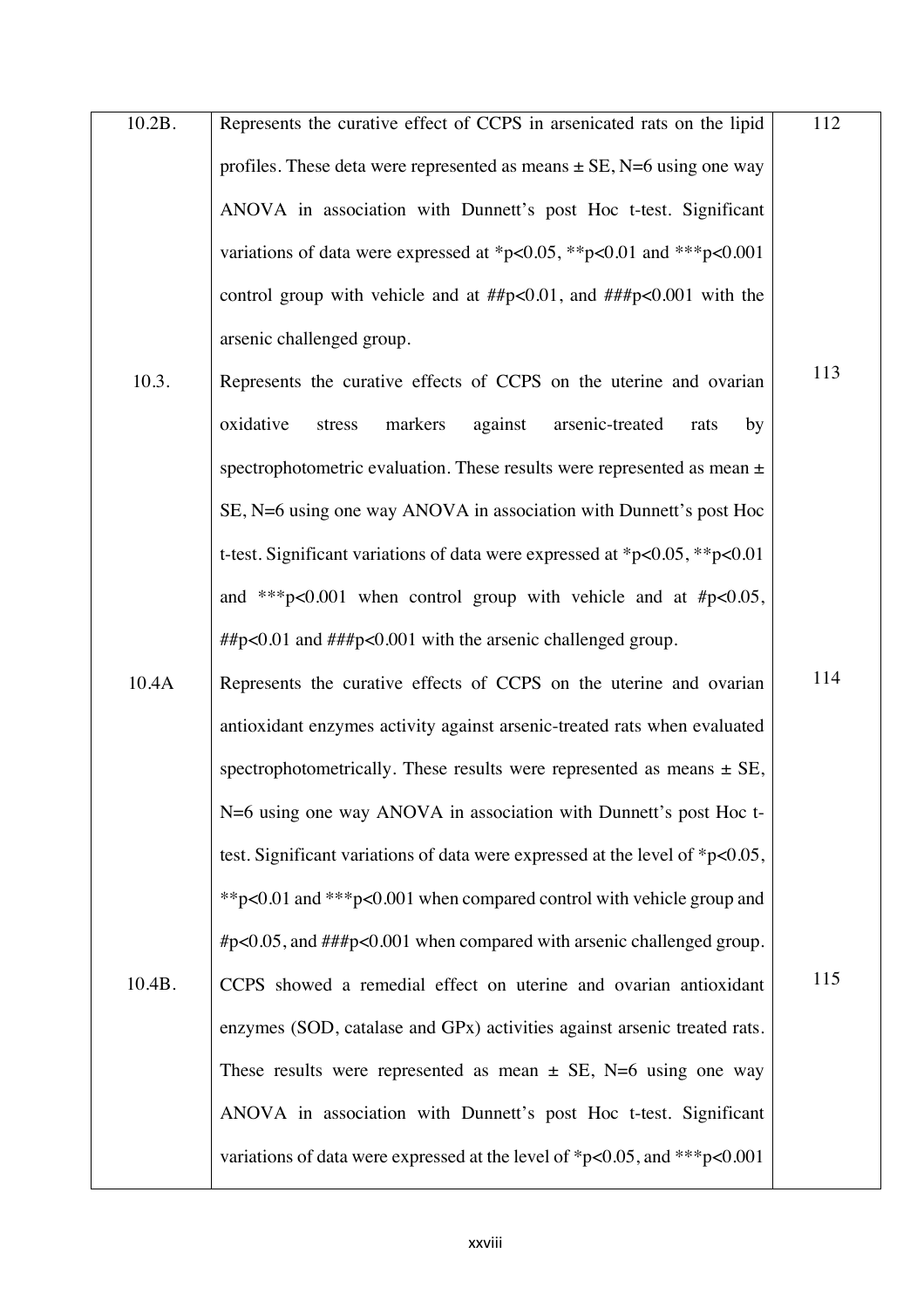10.2B. Represents the curative effect of CCPS in arsenicated rats on the lipid profiles. These deta were represented as means  $\pm$  SE, N=6 using one way ANOVA in association with Dunnett's post Hoc t-test. Significant variations of data were expressed at \*p<0.05, \*\*p<0.01 and \*\*\*p<0.001 control group with vehicle and at  $\# \sharp p < 0.01$ , and  $\# \sharp \sharp p < 0.001$  with the arsenic challenged group. 112

113

- 10.3. Represents the curative effects of CCPS on the uterine and ovarian oxidative stress markers against arsenic-treated rats by spectrophotometric evaluation. These results were represented as mean  $\pm$ SE, N=6 using one way ANOVA in association with Dunnett's post Hoc t-test. Significant variations of data were expressed at \*p<0.05, \*\*p<0.01 and \*\*\*p<0.001 when control group with vehicle and at  $\#p<0.05$ , ##p<0.01 and ###p<0.001 with the arsenic challenged group.
- 10.4A 10.4B. Represents the curative effects of CCPS on the uterine and ovarian antioxidant enzymes activity against arsenic-treated rats when evaluated spectrophotometrically. These results were represented as means  $\pm$  SE, N=6 using one way ANOVA in association with Dunnett's post Hoc ttest. Significant variations of data were expressed at the level of \*p<0.05, \*\*p<0.01 and \*\*\*p<0.001 when compared control with vehicle group and #p<0.05, and ###p<0.001 when compared with arsenic challenged group. CCPS showed a remedial effect on uterine and ovarian antioxidant enzymes (SOD, catalase and GPx) activities against arsenic treated rats. These results were represented as mean  $\pm$  SE, N=6 using one way ANOVA in association with Dunnett's post Hoc t-test. Significant variations of data were expressed at the level of \*p<0.05, and \*\*\*p<0.001 114 115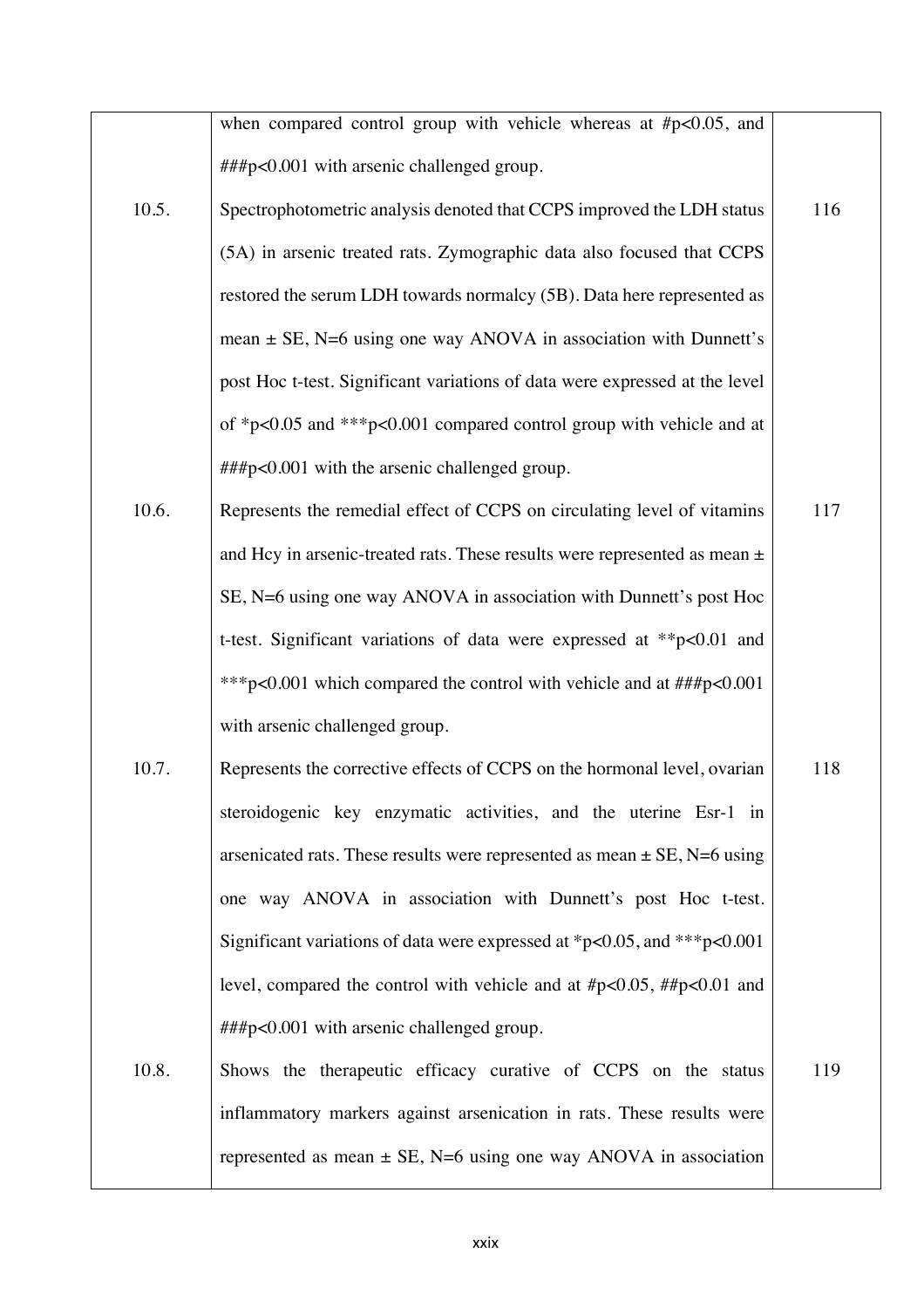|       | when compared control group with vehicle whereas at $\#p<0.05$ , and          |     |
|-------|-------------------------------------------------------------------------------|-----|
|       | ###p<0.001 with arsenic challenged group.                                     |     |
| 10.5. | Spectrophotometric analysis denoted that CCPS improved the LDH status         | 116 |
|       | (5A) in arsenic treated rats. Zymographic data also focused that CCPS         |     |
|       | restored the serum LDH towards normalcy (5B). Data here represented as        |     |
|       | mean $\pm$ SE, N=6 using one way ANOVA in association with Dunnett's          |     |
|       | post Hoc t-test. Significant variations of data were expressed at the level   |     |
|       | of *p<0.05 and ***p<0.001 compared control group with vehicle and at          |     |
|       | ###p<0.001 with the arsenic challenged group.                                 |     |
| 10.6. | Represents the remedial effect of CCPS on circulating level of vitamins       | 117 |
|       | and Hcy in arsenic-treated rats. These results were represented as mean $\pm$ |     |
|       | SE, N=6 using one way ANOVA in association with Dunnett's post Hoc            |     |
|       | t-test. Significant variations of data were expressed at **p<0.01 and         |     |
|       | *** p<0.001 which compared the control with vehicle and at ###p<0.001         |     |
|       | with arsenic challenged group.                                                |     |
| 10.7. | Represents the corrective effects of CCPS on the hormonal level, ovarian      | 118 |
|       | steroidogenic key enzymatic activities, and the uterine Esr-1 in              |     |
|       | arsenicated rats. These results were represented as mean $\pm$ SE, N=6 using  |     |
|       | one way ANOVA in association with Dunnett's post Hoc t-test.                  |     |
|       | Significant variations of data were expressed at *p<0.05, and ***p<0.001      |     |
|       | level, compared the control with vehicle and at $\#p<0.05$ , $\#p<0.01$ and   |     |
|       | ###p<0.001 with arsenic challenged group.                                     |     |
| 10.8. | Shows the therapeutic efficacy curative of CCPS on the status                 | 119 |
|       | inflammatory markers against arsenication in rats. These results were         |     |
|       | represented as mean $\pm$ SE, N=6 using one way ANOVA in association          |     |
|       |                                                                               |     |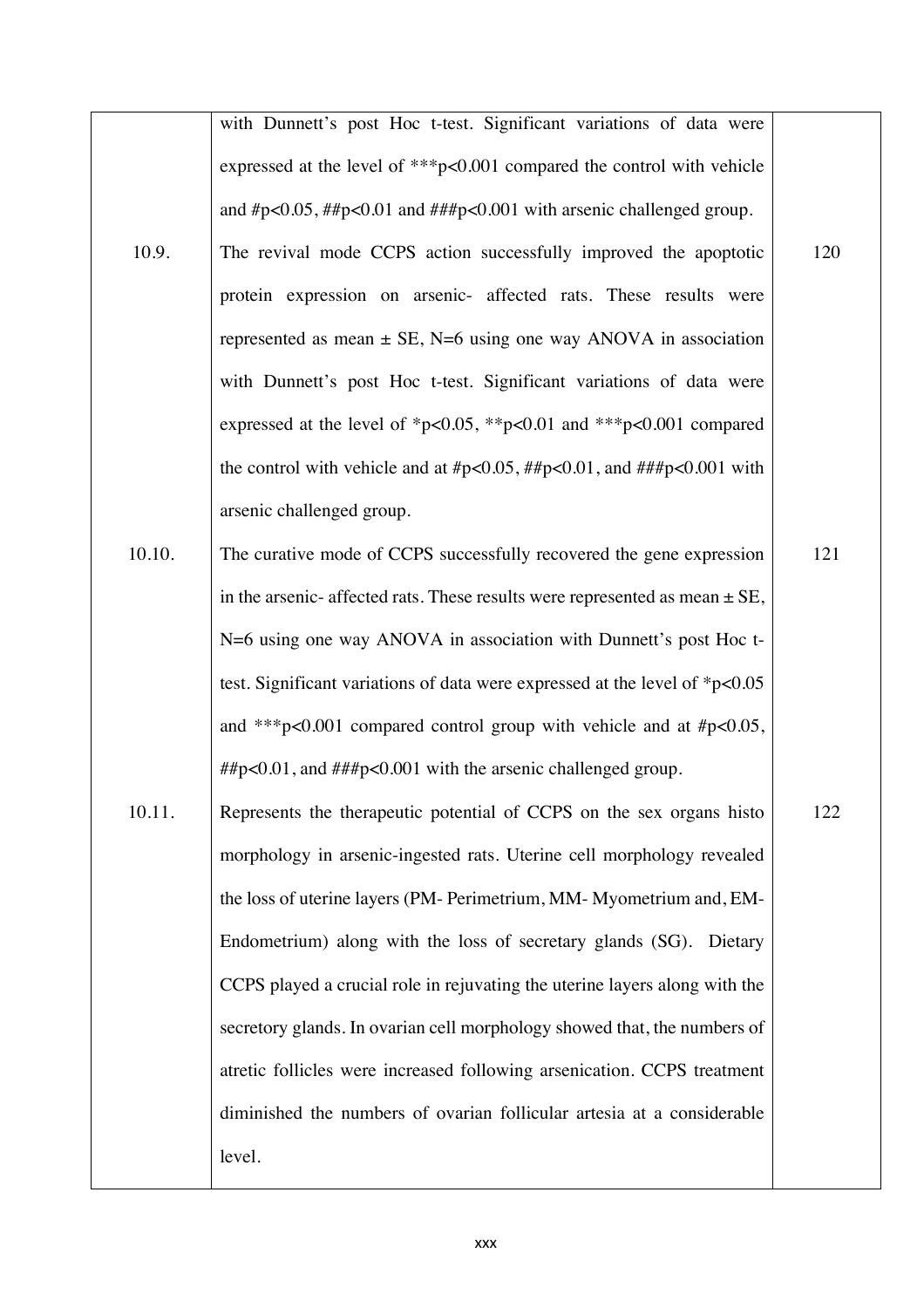|        | with Dunnett's post Hoc t-test. Significant variations of data were              |     |
|--------|----------------------------------------------------------------------------------|-----|
|        | expressed at the level of ***p<0.001 compared the control with vehicle           |     |
|        | and $\#p<0.05$ , $\#p<0.01$ and $\# \# p<0.001$ with arsenic challenged group.   |     |
| 10.9.  | The revival mode CCPS action successfully improved the apoptotic                 | 120 |
|        | protein expression on arsenic- affected rats. These results were                 |     |
|        | represented as mean $\pm$ SE, N=6 using one way ANOVA in association             |     |
|        | with Dunnett's post Hoc t-test. Significant variations of data were              |     |
|        | expressed at the level of *p<0.05, **p<0.01 and ***p<0.001 compared              |     |
|        | the control with vehicle and at #p<0.05, ##p<0.01, and ###p<0.001 with           |     |
|        | arsenic challenged group.                                                        |     |
| 10.10. | The curative mode of CCPS successfully recovered the gene expression             | 121 |
|        | in the arsenic- affected rats. These results were represented as mean $\pm$ SE,  |     |
|        | N=6 using one way ANOVA in association with Dunnett's post Hoc t-                |     |
|        | test. Significant variations of data were expressed at the level of $*_{p<0.05}$ |     |
|        | and ***p<0.001 compared control group with vehicle and at $\#p<0.05$ ,           |     |
|        | $\# \mu$ = 0.01, and $\# \# \mu$ = 0.001 with the arsenic challenged group.      |     |
| 10.11. | Represents the therapeutic potential of CCPS on the sex organs histo             | 122 |
|        | morphology in arsenic-ingested rats. Uterine cell morphology revealed            |     |
|        | the loss of uterine layers (PM- Perimetrium, MM- Myometrium and, EM-             |     |
|        | Endometrium) along with the loss of secretary glands (SG). Dietary               |     |
|        | CCPS played a crucial role in rejuvating the uterine layers along with the       |     |
|        | secretory glands. In ovarian cell morphology showed that, the numbers of         |     |
|        | atretic follicles were increased following arsenication. CCPS treatment          |     |
|        | diminished the numbers of ovarian follicular artesia at a considerable           |     |
|        | level.                                                                           |     |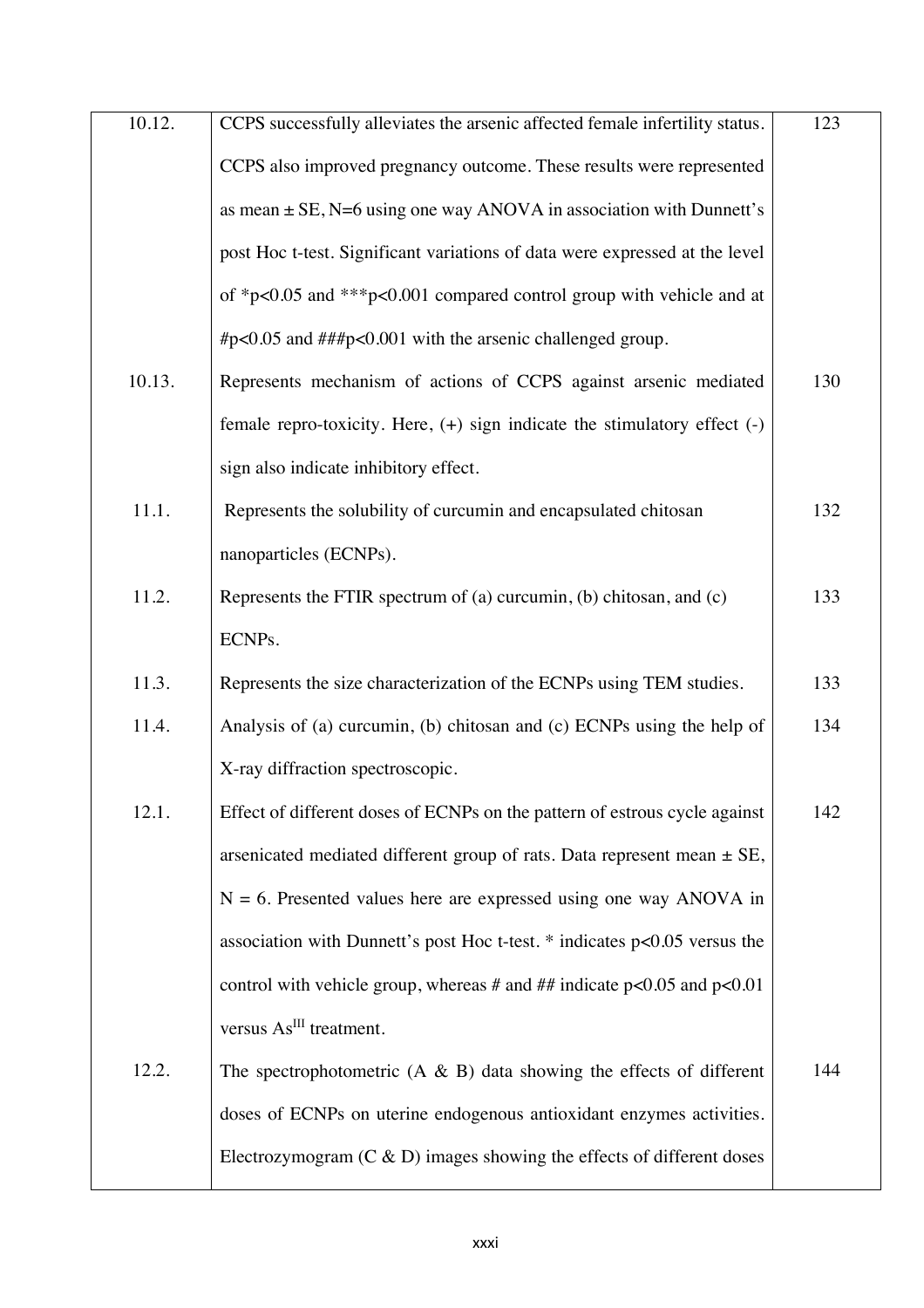| 10.12. | CCPS successfully alleviates the arsenic affected female infertility status.  | 123 |
|--------|-------------------------------------------------------------------------------|-----|
|        | CCPS also improved pregnancy outcome. These results were represented          |     |
|        | as mean $\pm$ SE, N=6 using one way ANOVA in association with Dunnett's       |     |
|        | post Hoc t-test. Significant variations of data were expressed at the level   |     |
|        | of *p<0.05 and ***p<0.001 compared control group with vehicle and at          |     |
|        | #p<0.05 and ###p<0.001 with the arsenic challenged group.                     |     |
| 10.13. | Represents mechanism of actions of CCPS against arsenic mediated              | 130 |
|        | female repro-toxicity. Here, $(+)$ sign indicate the stimulatory effect $(-)$ |     |
|        | sign also indicate inhibitory effect.                                         |     |
| 11.1.  | Represents the solubility of curcumin and encapsulated chitosan               | 132 |
|        | nanoparticles (ECNPs).                                                        |     |
| 11.2.  | Represents the FTIR spectrum of (a) curcumin, (b) chitosan, and $(c)$         | 133 |
|        | ECNPs.                                                                        |     |
| 11.3.  | Represents the size characterization of the ECNPs using TEM studies.          | 133 |
| 11.4.  | Analysis of (a) curcumin, (b) chitosan and (c) ECNPs using the help of        | 134 |
|        | X-ray diffraction spectroscopic.                                              |     |
| 12.1.  | Effect of different doses of ECNPs on the pattern of estrous cycle against    | 142 |
|        | arsenicated mediated different group of rats. Data represent mean $\pm$ SE,   |     |
|        | $N = 6$ . Presented values here are expressed using one way ANOVA in          |     |
|        | association with Dunnett's post Hoc t-test. $*$ indicates $p<0.05$ versus the |     |
|        | control with vehicle group, whereas # and ## indicate $p<0.05$ and $p<0.01$   |     |
|        | versus As <sup>III</sup> treatment.                                           |     |
| 12.2.  | The spectrophotometric $(A \& B)$ data showing the effects of different       | 144 |
|        | doses of ECNPs on uterine endogenous antioxidant enzymes activities.          |     |
|        | Electrozymogram $(C & D)$ images showing the effects of different doses       |     |